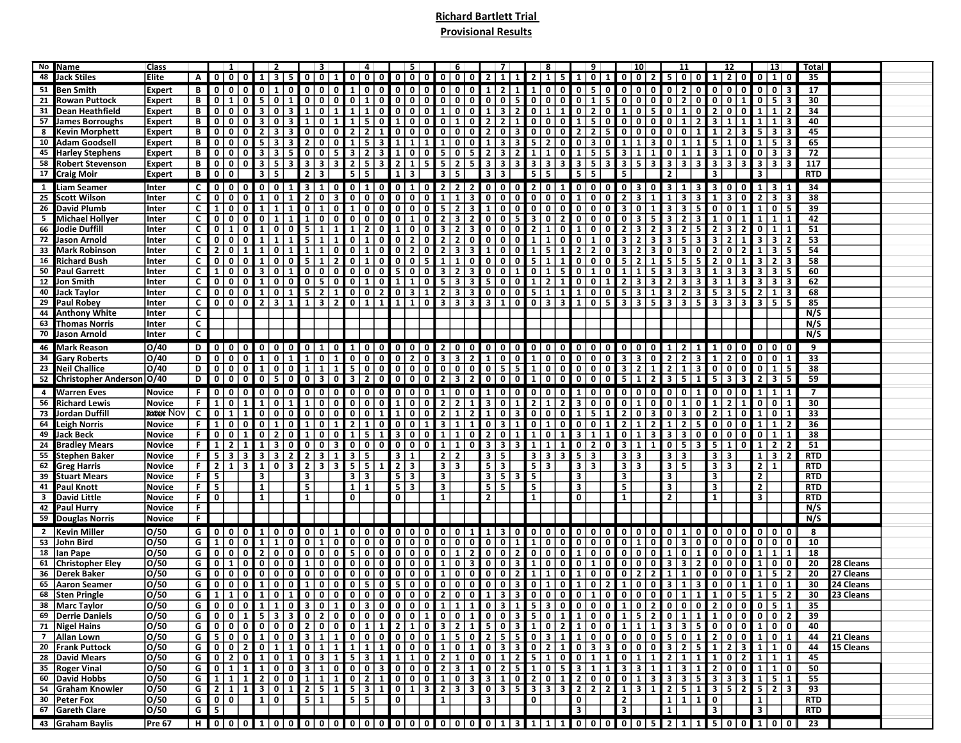## Richard Bartlett Trial Provisional Results

|                 | No Name                      | Class             |                |                | $\vert 1 \vert$         |                         |                         | $\vert 2 \vert$                         |                 | 3 <sup>1</sup>            |                |                                  | 4                       |                               | - 5                       |                | 6                             |                                              |                         | 7 <sup>1</sup>                            |                | 8                                                                                             |                                         | 9                                         | 10                             |                                  |                         | 11                                                 |                         | 12                           |                         | $\vert$ 13                   |              | Total          |           |  |
|-----------------|------------------------------|-------------------|----------------|----------------|-------------------------|-------------------------|-------------------------|-----------------------------------------|-----------------|---------------------------|----------------|----------------------------------|-------------------------|-------------------------------|---------------------------|----------------|-------------------------------|----------------------------------------------|-------------------------|-------------------------------------------|----------------|-----------------------------------------------------------------------------------------------|-----------------------------------------|-------------------------------------------|--------------------------------|----------------------------------|-------------------------|----------------------------------------------------|-------------------------|------------------------------|-------------------------|------------------------------|--------------|----------------|-----------|--|
|                 | 48 Jack Stiles               | Elite             | A              | 0 0 0          |                         |                         | $1 \mid 3 \mid$         | 5                                       |                 | 0 0 1                     |                |                                  |                         |                               |                           |                |                               |                                              |                         | 0 0 0 0 0 0 0 0 0 0 1 1 1                 |                | 2 1 5 1 0 1                                                                                   |                                         |                                           |                                | 0 0 2                            |                         | 5 0 0                                              | $\mathbf{1}$            | $20$                         |                         | 0110                         |              | - 35           |           |  |
|                 | 51 Ben Smith                 |                   |                | $\mathbf 0$    | 0 <sup>10</sup>         |                         | 0 <sub>1</sub>          | $\mathbf{0}$                            |                 | 0 0 0                     |                | 1 0                              |                         | 0   0   0   0                 |                           |                |                               |                                              |                         | 0 0 0 1 2 1                               |                | $\overline{1}$   0   0                                                                        | $0 \mid 5 \mid 0 \mid$                  |                                           |                                | 0 0 0                            | 0 2                     | $\overline{\mathbf{0}}$                            | 0 0                     | 0                            | $\overline{0}$          | 0   3                        |              | 17             |           |  |
|                 |                              | Expert            | В              |                |                         |                         |                         |                                         |                 |                           |                |                                  |                         |                               |                           |                |                               |                                              |                         |                                           |                |                                                                                               |                                         |                                           |                                |                                  |                         |                                                    |                         |                              |                         |                              |              |                |           |  |
| 21 <sub>1</sub> | <b>Rowan Puttock</b>         | <b>Expert</b>     | В              | 0              | 1                       | $\mathbf 0$             | 5                       | $\mathbf{0}$<br>1                       |                 | 0 0 0                     |                | $0$   1                          | $\mathbf 0$             | 0                             | $0$ 0                     |                | 0 <sup>1</sup>                | $\mathbf{0}$                                 |                         | 0 0 5                                     |                | 0 0 <br>$\mathbf{0}$                                                                          | $\mathbf{0}$<br>1                       | 5                                         | 0 0                            | $\mathbf 0$                      | 0 <sub>2</sub>          | $\mathbf{0}$                                       | $\mathbf 0$             | $\mathbf 0$                  | $\mathbf 0$             | 5<br>-3                      |              | 30             |           |  |
|                 | 31 Dean Heathfield           | <b>Expert</b>     | В              | $\mathbf 0$    | 0 <sup>1</sup>          |                         | 3 0                     | 3                                       | $\vert 1 \vert$ | $0 \mid 1$                |                | 1<br>1 <sup>1</sup>              | $\overline{\mathbf{0}}$ | 0                             | $\boxed{0}$               |                |                               | $10011$                                      |                         | 3 2                                       |                | $0 \mid 1$<br>$\mathbf{1}$                                                                    | 0                                       | 2 <sup>1</sup><br>$\overline{\mathbf{0}}$ | $\mathbf{1}$                   | 0 <sub>5</sub>                   | 0 1                     | 0                                                  | $\overline{2}$          | $\mathbf{0}$<br>0            | 1                       | 1                            |              | 34             |           |  |
|                 | 57 James Borroughs           | <b>Expert</b>     | В              | 0              | $\overline{0}$          | $\overline{0}$          | 3 <sup>1</sup>          | $\overline{0}$<br>3 <sup>1</sup>        | $\mathbf{1}$    | $\overline{\mathbf{0}}$ ) | $\mathbf{1}$   | $1\vert$<br>5                    | $\mathbf 0$             | $\mathbf{1}$                  | 0 <sup>1</sup>            | $\mathbf{0}$   | $\mathbf{1}$                  | $\overline{\mathbf{0}}$                      | $\overline{2}$          | $\overline{2}$<br>$\vert$ 1               |                | 0 0 0                                                                                         | $\vert$ 1                               | 5 <sup>1</sup><br> 0                      |                                | 0 0 0                            | $\overline{0}$          | $\mathbf{1}$<br>2 <sup>1</sup>                     | 3                       | $\mathbf{1}$                 |                         | $\mathbf{1}$                 | $\mathbf{3}$ | 40             |           |  |
|                 | <b>Kevin Morphett</b>        | <b>Expert</b>     | В              | $\mathbf 0$    | $\mathbf{0}$            |                         | $2 \mid 3$              | 3 <sup>1</sup>                          | 0               | 0 <sup>1</sup>            |                | 2 <sup>1</sup><br>$\overline{2}$ | $\mathbf{1}$            | 0                             | 0 0                       |                | 0 0 0                         |                                              |                         | $2013$                                    |                |                                                                                               | $\overline{2}$                          | 5 <sub>1</sub>                            | $0$ 0                          | $\mathbf 0$                      | 0   0                   |                                                    |                         | 2 <sup>1</sup>               |                         | $\overline{\mathbf{3}}$      |              | 45             |           |  |
|                 | 10 Adam Goodsell             | <b>Expert</b>     | В              | $\mathbf 0$    | 0 <sup>1</sup>          |                         | 5 3                     | $\overline{\mathbf{3}}$                 | 2               | 0 0                       |                | $1\vert$<br>5                    | $\overline{\mathbf{3}}$ | $\mathbf{1}$                  | $1 \mid 1$                |                | 1 0 0                         |                                              | l 1                     | $3 \mid 3 \mid$                           |                | 520                                                                                           | 0 3 0                                   |                                           | $\mathbf{1}$                   | $\mathbf{3}$<br>$\mathbf{1}$     | 0                       | 1                                                  | 5                       | 1<br>0                       | 1                       | -5                           |              | 65             |           |  |
|                 | 45 Harley Stephens           | <b>Expert</b>     | В              | $\mathbf 0$    | $\mathbf{0}$            |                         | 3 3                     | 5 <sub>1</sub>                          |                 | 0 0 5                     |                | $3 \mid 2$                       | 3                       | 1                             | 0 0                       |                | 5 0                           | $\overline{5}$                               | $\vert 2 \vert$         | 3 2                                       | $\mathbf{1}$   | $\mathbf 0$<br>$\mathbf{1}$                                                                   | $\mathbf{1}$<br>5                       | 5                                         | $\overline{\mathbf{3}}$<br>l 1 | 1                                | $0$   1                 |                                                    | 3                       | 1<br>0                       | $\mathbf{0}$            | $\overline{\mathbf{3}}$      |              | 72             |           |  |
|                 | 58 Robert Stevenson          | <b>Expert</b>     | В              | $\mathbf 0$    | 0 1 0                   |                         | $3 \mid 5 \mid$         | 3 I                                     |                 | $3 \mid 3 \mid 3$         |                | $2 \mid 5$                       | $\overline{3}$          | 2                             | $1 \mid 5 \mid$           |                | $5 \mid 2$                    |                                              |                         | 5   3   3   3                             |                | 3 3 <br>3 <sup>1</sup>                                                                        | $3 \mid 5 \mid 3 \mid$                  |                                           | $3 \mid 5$                     | 3 <sup>1</sup>                   | $3 \mid 3$              | 3 <sup>1</sup>                                     | $\mathbf{3}$            | $\overline{\mathbf{3}}$<br>3 | $\overline{\mathbf{3}}$ | 3                            | 3            | 117            |           |  |
|                 | 17 Craig Moir                | <b>Expert</b>     | В              | 0              | $\mathbf 0$             |                         | $3 \mid 5$              |                                         |                 | $2 \mid 3$                |                | $5 \mid 5$                       |                         | $1\vert$                      | 3                         |                | $3 \mid 5$                    |                                              | 3                       | 3                                         |                | $5 \mid 5$                                                                                    | 5 5                                     |                                           | 5                              |                                  |                         |                                                    | 3                       |                              |                         |                              |              | <b>RTD</b>     |           |  |
|                 |                              |                   |                |                |                         |                         |                         |                                         |                 |                           |                |                                  |                         |                               |                           |                |                               |                                              |                         |                                           |                |                                                                                               |                                         |                                           |                                |                                  |                         |                                                    |                         |                              |                         |                              |              |                |           |  |
|                 | 1 Liam Seamer                | Inter             | $\mathsf{c}$   | $\overline{0}$ | 0 <sup>10</sup>         |                         | 0 0                     | $\mathbf{1}$                            |                 | 3 1 0                     |                | 0 1                              | 0                       |                               | 0 1 0                     | 2 <sup>1</sup> | $\overline{2}$                | $\vert 2 \vert$                              |                         | 0 0 0                                     |                | 2 0 <br>$1 \,$                                                                                | 0 0 0                                   |                                           | 0 3 0                          |                                  | 3 1                     | 3 <sup>1</sup>                                     | $\overline{\mathbf{3}}$ | ∣ 0 I<br>$\mathbf 0$         | $\vert$ 1               | 3<br>1                       |              | 34             |           |  |
| 25 I            | <b>Scott Wilson</b>          | Inter             | C              | 0              |                         |                         | $1\vert$                | $\overline{0}$<br>$\mathbf{1}$          | $\overline{2}$  | 0 <sup>1</sup>            | $\mathbf{3}$   | 0 0                              | $\overline{\mathbf{0}}$ | 0                             | 0 0                       | 1 <sup>1</sup> | $\mathbf{1}$                  | $\overline{\mathbf{3}}$                      |                         | 0 0 0                                     |                | 0 0 <br>$\overline{\mathbf{0}}$                                                               | $\vert$ 1<br>  0                        | $\overline{\phantom{0}}$                  | 2 3                            | $\mathbf{1}$                     | $\mathbf{1}$            | $\overline{\mathbf{3}}$<br>3 <sup>1</sup>          | 1                       | 3                            |                         | $\overline{\mathbf{3}}$      |              | 38             |           |  |
|                 | 26 David Plumb               | Inter             | C              | 1              | 0 0                     |                         | 1 1                     | $\mathbf{1}$                            | 0               | 1 0                       |                | 1 0                              | 0                       |                               | 000                       | 5 <sub>1</sub> |                               |                                              |                         |                                           |                | $23100000000000$                                                                              |                                         |                                           |                                | 3 0 1                            | $\mathbf{3}$            | $\overline{\mathbf{3}}$<br>5 <sup>1</sup>          | $\mathbf{0}$            | O                            |                         | $\mathbf{0}$                 |              | 39             |           |  |
| 5               | <b>Michael Hollyer</b>       | Inter             | C              | 0              | $\mathbf 0$             |                         | 0 <sup>1</sup>          | 1<br>1                                  | $\mathbf{1}$    | 0 1 0                     |                | 0   0                            | $\overline{\mathbf{0}}$ | 0                             | 1 0                       |                | $\overline{2}$ $\overline{3}$ | $\begin{array}{c} \n\text{2} \\ \end{array}$ |                         | 0 0 5                                     |                | 3 0 <br>$\overline{2}$                                                                        | 0   0                                   | $\overline{\mathbf{0}}$                   | $\mathbf 0$<br>$\vert$ 3       | 5                                | $\mathbf{3}$            | $\overline{2}$                                     | 1                       | $\mathbf 0$                  |                         |                              |              | 42             |           |  |
|                 | 66 Jodie Duffill             | Inter             | C              | 0              | $\mathbf{1}$            |                         | $1 \vert$               | $\mathbf{0}$<br>$\mathbf{0}$            | 5               | 1                         | $\mathbf{1}$   | $\overline{2}$<br>$1 \vert$      | $\mathbf{0}$            | $1 \vert$                     | 0 0                       | 3 <sup>1</sup> | $\overline{2}$                | 3                                            |                         |                                           |                | $2110$                                                                                        | 10                                      | $\overline{\mathbf{0}}$                   | $\overline{2}$                 | $\overline{\mathbf{3}}$<br>2     | $\mathbf{3}$            | 2                                                  | $\overline{2}$          | 3                            | $\mathbf 0$             | 1                            |              | 51             |           |  |
|                 | 72 Jason Arnold              | Inter             | C              | 0              | $\mathbf{0}$            |                         |                         | 1<br>1                                  | <b>5</b>        | -1                        | 1              | 0 <sup>1</sup><br>$\mathbf{1}$   | $\mathbf 0$             | 0                             | $\overline{2}$<br>l 0     | 2 <sub>1</sub> | $\overline{2}$                | $\overline{\mathbf{0}}$                      |                         | 0 0 0                                     | $\mathbf{1}$   | $1 \vert 0$                                                                                   | 0 <br><b>1</b>                          | 0                                         | 3                              | 3<br>$\mathbf{2}$                | $\mathbf{3}$            | -5                                                 | 3                       | $\mathbf{2}$                 | 3                       | 3                            |              | 53             |           |  |
|                 |                              |                   | c              | $\mathbf{2}$   | 0 <sup>1</sup>          |                         |                         | $\overline{0}$<br>$\mathbf{1}$          | 1               | $1 \mid 0$                |                | $0 \mid 1$                       | $\overline{\mathbf{0}}$ |                               | $0   2   0  $             |                |                               |                                              |                         | 2 3 3 1 0 0                               |                | $1 \mid 5 \mid$<br>$\mathbf{1}$                                                               | 2                                       | 2 <sup>1</sup>                            | $\mathbf{3}$<br>l 2            |                                  | 0                       | $\overline{\mathbf{3}}$<br>$\overline{\mathbf{0}}$ | $\overline{2}$          | O                            | $\mathbf{1}$            | 3                            | -5           | 54             |           |  |
|                 | 33 Mark Robinson             | Inter             |                |                |                         |                         |                         |                                         |                 |                           |                |                                  |                         |                               |                           |                |                               |                                              |                         |                                           |                |                                                                                               |                                         | $\overline{\phantom{0}}$                  |                                | 3 <sup>1</sup>                   |                         |                                                    |                         |                              |                         |                              |              |                |           |  |
|                 | 16 Richard Bush              | Inter             | C              | 0              | 0 <sup>1</sup>          | $\mathbf 0$             | - 1 I                   | $\mathbf{0}$<br>  O                     |                 | 511                       | $\overline{2}$ | $0 \mid 1$                       | $\mathbf{0}$            |                               | 0 0 5                     |                | 1 1 0                         |                                              |                         | 0   0   0                                 |                | 5 1 <br>1                                                                                     | 0   0                                   | $\overline{\phantom{0}}$                  | 5                              | $\overline{2}$<br>1              | 5 <sub>1</sub>          | 5                                                  | $\overline{2}$          | $\mathbf 0$                  | 3                       | $\overline{2}$               |              | 58             |           |  |
| <b>50</b>       | <b>Paul Garrett</b>          | Inter             | C              | 1              | $\mathbf{0}$            |                         | 3 <sup>1</sup>          | $\mathbf{0}$<br>1                       |                 | 0 0 0                     |                | 0   0                            |                         | $0$   5                       | 0 0                       | 3 <sup>1</sup> | $\overline{2}$                | $\sqrt{3}$                                   | $\overline{0}$          | 0 1                                       |                | 0 1 <br>$5^{\circ}$                                                                           | 0 <br>1                                 | $\overline{\mathbf{0}}$                   | $\mathbf{1}$                   | $\mathbf{1}$<br>5                | $\overline{\mathbf{3}}$ | 3<br>3 <sup>1</sup>                                | -1                      |                              | 3                       | 3                            |              | 60             |           |  |
| 12              | Jon Smith                    | Inter             | C              | 0              | $\overline{\mathbf{0}}$ | $\mathbf 0$             | $1 \mid$                | $\mathbf{0}$<br>$\mathbf{0}$            |                 | $0 \mid 5 \mid 0$         |                | $0 \mid 1$                       | $\overline{0}$          | $1 \vert$                     | 1 0                       |                | $5 \mid 3 \mid 3 \mid$        |                                              |                         | 500                                       |                | $1 \mid 2 \mid$<br>$\mathbf{1}$                                                               | 0 0 1                                   |                                           | $\mathbf{2}$                   | 3 <sup>1</sup><br>3 <sup>1</sup> | 2                       | 3<br>3 <sup>1</sup>                                | $\mathbf{3}$            | $\mathbf{1}$                 | 3 I                     | $\mathbf{3}$<br>$\mathbf{3}$ |              | 62             |           |  |
| 40              | <b>Jack Taylor</b>           | Inter             | C              | 0              | 0 1 0 1                 |                         | $1 \vert$               | $\overline{0}$                          |                 | $1$   5   2   1           |                |                                  | 0 0 2                   | 0                             | 3 1                       |                |                               |                                              |                         | 2 3 3 0 0 0                               |                | 5 1 1                                                                                         | 1 0                                     | 0                                         | 5                              | 3 1                              | 3                       | 2<br>3                                             | 5                       | 3 <sup>1</sup>               | $\overline{2}$          |                              |              | 68             |           |  |
|                 | 29 Paul Robey                | Inter             | C              | 0              | 0 <sub>0</sub>          |                         | 2 3                     | $\mathbf{1}$                            |                 | 1 3 2                     |                |                                  | 0 1 1                   |                               | 1110                      |                |                               |                                              |                         |                                           |                | 3 3 3 3 1 0 0 3 3                                                                             | 1 0                                     | l 5 l                                     | 3 3                            | 5                                | 3                       | l 3                                                | 3 3                     |                              | $\mathbf{3}$            | -5                           |              | 85             |           |  |
|                 | 44 Anthony White             | Inter             | C              |                |                         |                         |                         |                                         |                 |                           |                |                                  |                         |                               |                           |                |                               |                                              |                         |                                           |                |                                                                                               |                                         |                                           |                                |                                  |                         |                                                    |                         |                              |                         |                              |              | N/S            |           |  |
|                 | 63 Thomas Norris             | Inter             | C              |                |                         |                         |                         |                                         |                 |                           |                |                                  |                         |                               |                           |                |                               |                                              |                         |                                           |                |                                                                                               |                                         |                                           |                                |                                  |                         |                                                    |                         |                              |                         |                              |              | N/S            |           |  |
|                 | 70 Jason Arnold              | Inter             | C              |                |                         |                         |                         |                                         |                 |                           |                |                                  |                         |                               |                           |                |                               |                                              |                         |                                           |                |                                                                                               |                                         |                                           |                                |                                  |                         |                                                    |                         |                              |                         |                              |              | N/S            |           |  |
|                 |                              |                   |                |                |                         |                         |                         |                                         |                 |                           |                |                                  |                         |                               |                           |                |                               |                                              |                         |                                           |                |                                                                                               |                                         |                                           |                                |                                  |                         |                                                    |                         |                              |                         |                              |              |                |           |  |
|                 | 46 Mark Reason               | 0/40              | D              |                | 0 0 0                   |                         |                         |                                         |                 | 00000010                  |                |                                  |                         |                               |                           |                |                               |                                              |                         |                                           |                |                                                                                               |                                         |                                           |                                |                                  |                         | l 1 l                                              | $\mathbf{1}$            | $\mathbf{0}$<br>$\mathbf{0}$ |                         | 0   0   0                    |              | 9              |           |  |
|                 | 34 Gary Roberts              | $\overline{O/40}$ | D              | 0              |                         |                         | $1\vert$                | $\overline{0}$<br>$1 \mid$              |                 | 1 0 1                     |                |                                  | 0 0 0                   | $\overline{\bullet}$          | 2 0                       |                |                               |                                              |                         | 3 3 2 1 0 0                               |                | 1000000                                                                                       |                                         |                                           | 3 3 0                          |                                  | 2 2                     | 3                                                  | $\mathbf{1}$            | $\overline{2}$               |                         | 0 0 1                        |              | 33             |           |  |
|                 | 23 Neil Challice             | 0/40              | D              | $\mathbf 0$    | 0 0                     |                         |                         | 1 0 0 1                                 |                 | 1 <sup>1</sup>            | $\mathbf{1}$   | 5 0                              | $\overline{\mathbf{0}}$ |                               | 0 0 0                     |                |                               |                                              |                         | 5 5                                       |                | $1   0   0   0   0   0   0  $                                                                 |                                         |                                           | $\mathbf{3}$                   | 2 <sup>1</sup><br>$\mathbf{1}$   | $\overline{2}$          | $\mathbf{1}$<br>3 <sup>1</sup>                     | $\mathbf{0}$            | O  <br>0                     | $\mathbf{0}$            | 5<br>1                       |              | 38             |           |  |
|                 | 52 Christopher Anderson 0/40 |                   | D              | $\mathbf 0$    | $\mathbf 0$             | $\mathbf 0$             | $\overline{\mathbf{0}}$ | 5<br>0                                  | 0               | 3 0                       |                | 3 I<br>$\overline{2}$            | $\mathbf{0}$            | $\mathbf 0$                   | $\mathbf 0$<br>  0        | 2 <sup>1</sup> | $\overline{\mathbf{3}}$       | 2 <sub>1</sub>                               |                         | 0 0 0                                     |                | 1 0 0                                                                                         | 0 0                                     | $\overline{\mathbf{0}}$                   | 5                              | $\mathbf{1}$<br>2                | $\mathbf{3}$            | -5                                                 | 5                       | 3                            | $\mathbf{2}$            | 3                            |              | 59             |           |  |
|                 | 4 Warren Eves                | Novice            | F.             | $\circ$        | 0 <sup>1</sup>          |                         |                         |                                         |                 | 0   0   0   0   0   0     |                |                                  |                         | $0   0   0   0   0   0   0  $ |                           |                |                               |                                              |                         |                                           |                | $1001100100000100100$                                                                         |                                         |                                           |                                |                                  |                         | 0 0 1                                              | 0 0                     | $\mathbf{0}$                 |                         | 1 1 <br>1                    |              | $\overline{7}$ |           |  |
|                 |                              |                   |                |                |                         |                         |                         |                                         |                 |                           |                |                                  |                         |                               |                           |                |                               |                                              |                         |                                           |                |                                                                                               |                                         |                                           |                                |                                  |                         |                                                    |                         |                              |                         |                              |              |                |           |  |
|                 | 56 Richard Lewis             | Novice            |                | 1              | $\mathbf{0}$            |                         |                         | $\mathbf{0}$<br>1                       | 1               | 0 <sup>1</sup>            |                | 0 0                              | $\mathbf{0}$            | 1                             | 0 <sup>1</sup>            | $\overline{2}$ | $\overline{2}$                | $\mathbf{1}$                                 | 3                       | 0 1                                       | $\overline{2}$ | $\mathbf{1}$<br>$\mathbf{2}$                                                                  | $\overline{\mathbf{3}}$<br>$\mathbf 0$  | $\mathbf 0$                               | $0$   1                        | 0                                | $\mathbf 0$             | $\mathbf{1}$<br>$\mathbf{0}$                       | $\mathbf{1}$            | $\overline{2}$               | $\mathbf 0$             | $\mathbf 0$                  |              | 30             |           |  |
|                 | 73 Jordan Duffill            | <b>XXXXXX</b> Nov | C              | 0              | $\vert$ 1               | 1                       | 0 0                     | $\mathbf{0}$                            |                 | 0 0 0                     |                | 0   0                            | $\mathbf{1}$            | $1 \vert$                     | 0 0                       | 2              | $\mathbf{1}$                  | $\overline{2}$                               | $1 \vert$               | $0 \mid 3 \mid$                           |                | 0 0 0                                                                                         | $\overline{5}$<br>$\vert$ 1             | $\mathbf{1}$                              | $\mathbf{2}$<br>  O            | 3                                | $0 \mid 3$              | $\overline{\mathbf{0}}$                            | $\overline{2}$          | $\vert 1 \vert$<br>0         | 1                       | $\mathbf 0$<br>-1            |              | 33             |           |  |
|                 | 64 Leigh Norris              | <b>Novice</b>     | F.             | 1              | $\mathbf{0}$            |                         |                         | $\mathbf 0$<br>-1                       | 1               | $\mathbf 0$               | 1              | 2 <sub>1</sub><br>1              | 0                       | 0                             | 0 1                       | 3 <sup>1</sup> | $\mathbf{1}$                  | 1                                            | 0 <sup>1</sup>          | 3 1                                       |                | $0 \mid 1$<br>$\overline{\mathbf{0}}$                                                         | $\mathbf{0}$<br>$\mathbf 0$             | $1 \vert$                                 | $\mathbf{2}$<br>  1            | 2                                | $\mathbf{1}$            | $\overline{2}$<br>5 <sup>1</sup>                   | $\mathbf{0}$            | 0 I<br>0                     | 1                       | 1                            |              | 36             |           |  |
| 49              | <b>Jack Beck</b>             | <b>Novice</b>     |                | 0              | $\mathbf{0}$            |                         | 0 <sup>2</sup>          | $\overline{0}$                          | $\mathbf{1}$    | 0 1 0                     |                | 5<br>$1 \vert$                   | 1                       | 3                             | 0 0                       | $1\vert$       | $\mathbf{1}$                  | 0                                            |                         | 2 0 1                                     |                | 1 0 <br>1                                                                                     | 3                                       | $\vert$ 1<br>$\vert 1 \vert$              | $0 \mid 1$                     | $\overline{\mathbf{3}}$          | $3 \mid 3$              | $\mathbf{0}$                                       | 0 0                     | 0                            |                         | 011                          |              | 38             |           |  |
| 24              | <b>Bradley Mears</b>         | <b>Novice</b>     | F.             | <b>1</b>       | $\overline{2}$          |                         | $1 \mid 3$              | $\overline{0}$                          | 0               | 0 <sup>3</sup>            |                | 0 0                              | O                       |                               | 0 0 0                     | 1              | 1                             | $\mathbf{0}$                                 | $\overline{\mathbf{3}}$ | 3 <sup>1</sup><br>$\overline{\mathbf{3}}$ | $\mathbf{1}$   | $\mathbf{1}$<br>1                                                                             | $\mathbf{0}$<br>$\overline{2}$          | $\mathbf 0$                               | 3 1                            |                                  | $0 \mid 5$              | 3 <sup>1</sup>                                     | 5                       | 1                            | $\mathbf{1}$            | $\overline{2}$               |              | 51             |           |  |
|                 | 55 Stephen Baker             | Novice            | F.             | 5              | -3 I                    | $\overline{\mathbf{3}}$ | $3 \mid 3 \mid$         | $\overline{2}$                          |                 | $2 \mid 3 \mid 1$         |                | $3 \mid 5$                       |                         | 3                             | <b>1</b>                  | $\overline{2}$ | $\overline{2}$                |                                              | $\overline{\mathbf{3}}$ | 5                                         |                | $3 \mid 3 \mid$<br>3                                                                          | 5 <sup>1</sup><br>l 3                   |                                           | $3 \mid 3$                     |                                  | $3 \mid 3$              |                                                    | $\mathbf{3}$            | l 3                          | $\mathbf{1}$            | 3<br>$\overline{2}$          |              | <b>RTD</b>     |           |  |
|                 | 62 Greg Harris               | <b>Novice</b>     | F.             | $\overline{2}$ | 1                       | 3                       | 1 0                     | 3                                       |                 | $2 \mid 3 \mid 3$         |                | $5 \mid 5 \mid$                  | -1                      | $\vert 2 \vert$               | $\overline{\mathbf{3}}$   |                | $3 \mid 3$                    |                                              | $5 \mid 3$              |                                           |                | $5 \mid 3$                                                                                    | $3 \mid 3$                              |                                           | $3 \mid 3$                     |                                  | $3 \mid 5$              |                                                    | $\overline{\mathbf{3}}$ | <b>3</b>                     | $\overline{2}$          | 1                            |              | <b>RTD</b>     |           |  |
|                 | 39 Stuart Mears              | <b>Novice</b>     | F.             | 5              |                         |                         | 3                       |                                         | 3               |                           |                | $3 \mid 3$                       |                         | 5 3                           |                           | 3 <sup>1</sup> |                               |                                              |                         | $3 \mid 5 \mid 3 \mid$                    | 5              |                                                                                               | $\overline{\mathbf{3}}$                 |                                           | $\overline{\mathbf{3}}$        |                                  | $\mathbf{3}$            |                                                    | $\overline{\mathbf{3}}$ |                              | $\mathbf{2}$            |                              |              | <b>RTD</b>     |           |  |
| 41              | <b>Paul Knott</b>            | <b>Novice</b>     |                | 5              |                         |                         | $\mathbf{1}$            |                                         | 5 <sub>5</sub>  |                           |                | $1 \mid 1$                       |                         | $5 \mid 3$                    |                           | 3              |                               |                                              | 55                      |                                           | 5              |                                                                                               | 3                                       |                                           | $5\overline{ }$                |                                  | $\overline{\mathbf{3}}$ |                                                    | $\overline{\mathbf{3}}$ |                              | $\overline{2}$          |                              |              | <b>RTD</b>     |           |  |
|                 | 3 David Little               | <b>Novice</b>     |                | 0              |                         |                         | 1                       |                                         | $1 \mid$        |                           |                | $\mathbf{0}$                     |                         | 0                             |                           | $1 \vert$      |                               |                                              | $\mathbf{2}$            |                                           | 1              |                                                                                               | 0                                       |                                           | $\overline{1}$                 |                                  | $\mathbf{2}$            |                                                    | $\mathbf{1}$            |                              | $\overline{\mathbf{3}}$ |                              |              | <b>RTD</b>     |           |  |
|                 |                              |                   |                |                |                         |                         |                         |                                         |                 |                           |                |                                  |                         |                               |                           |                |                               |                                              |                         |                                           |                |                                                                                               |                                         |                                           |                                |                                  |                         |                                                    |                         |                              |                         |                              |              |                |           |  |
|                 | 42 Paul Hurry                | <b>Novice</b>     | F.             |                |                         |                         |                         |                                         |                 |                           |                |                                  |                         |                               |                           |                |                               |                                              |                         |                                           |                |                                                                                               |                                         |                                           |                                |                                  |                         |                                                    |                         |                              |                         |                              |              | N/S            |           |  |
|                 | 59 Douglas Norris            | Novice            | F.             |                |                         |                         |                         |                                         |                 |                           |                |                                  |                         |                               |                           |                |                               |                                              |                         |                                           |                |                                                                                               |                                         |                                           |                                |                                  |                         |                                                    |                         |                              |                         |                              |              | N/S            |           |  |
|                 | 2   Kevin Miller             | $\overline{O/50}$ | G              | l 0 l          | 0 0                     |                         |                         | 1 0 0                                   |                 | 0   0   1                 |                |                                  |                         | 0 0 0 0 0 0                   |                           |                |                               |                                              |                         |                                           |                | $130000000000000000$                                                                          |                                         |                                           |                                |                                  | $\boxed{0}$ 1           |                                                    | $\sqrt{2}$              | 0   0                        |                         | lololo                       |              | 8              |           |  |
|                 | 53 John Bird                 | 0/50              | G              | 1              | $\mathbf 0$             |                         |                         | $\mathbf 0$<br>1                        | $\mathbf 0$     | 1<br>$\mathbf 0$          |                | $\mathbf 0$<br>0 <sup>1</sup>    | $\mathbf{0}$            | 0                             | $\mathbf 0$<br>  O        |                | 0 0                           | $\overline{\mathbf{0}}$                      | 0                       | $\mathbf 0$<br>1                          | $\mathbf{1}$   | $\mathbf{0}$<br>0                                                                             | $\overline{\mathbf{0}}$<br>$\mathbf{0}$ | $\mathbf 0$                               | $\mathbf 0$                    | 0<br>$\mathbf{1}$                | $\mathbf 0$             | 3<br>$\mathbf{0}$                                  | $\mathbf 0$             | $\mathbf 0$<br>0             | $\mathbf{0}$            | $\mathbf 0$                  | $\mathbf 0$  | 10             |           |  |
| 18              | lan Pape                     | O/50              | G              | $\mathbf 0$    | $\overline{0}$          |                         | 2 <sup>1</sup>          | $\overline{\mathbf{0}}$<br>$\mathbf{0}$ |                 | 0 <sup>1</sup><br>0 0     | 5 <sub>1</sub> |                                  | 0 <sup>0</sup>          | 0                             | $\frac{\bullet}{\bullet}$ |                | $0 \mid 1$                    | $\overline{2}$                               |                         | 0 0 2                                     | $\mathbf{0}$   | 0   0                                                                                         | $\overline{\phantom{0}}$<br>$\vert$ 1   | $\overline{\mathbf{0}}$                   | 0 0                            | 0                                | $\mathbf{1}$            | $\mathbf 0$                                        | 0                       | $\mathbf{0}$<br>0            | 1                       | 1                            |              | 18             |           |  |
| 61              | <b>Christopher Eley</b>      | 0/50              | G              | $\mathbf 0$    | $\mathbf{1}$            | $\mathbf 0$             | $\overline{0}$          | $\mathbf 0$<br>$\mathbf{0}$             | $\vert$ 1       | 0 <sup>1</sup>            |                | 0   0                            | $\mathbf{0}$            | 0                             | 0   0                     | $1\vert$       | $\mathbf 0$                   | 3                                            |                         | 0 0 3                                     |                | 1 0 <br>$\overline{\mathbf{0}}$                                                               | 1<br> 0                                 | $\mathbf{0}$                              | 0   0                          | $\overline{\mathbf{0}}$          | $\mathbf{3}$            | 3<br>2 <sup>1</sup>                                | 0                       | $\mathbf{0}$<br>0            | 1                       | 0                            | $\mathbf 0$  | 20             | 28 Cleans |  |
|                 | 36   Derek Baker             | 0/50              | G              | 0              | 0 <sup>1</sup>          | $\mathbf 0$             | 0 0                     | $\mathbf 0$                             |                 | 0 0 0                     |                | 0   0                            | $\mathbf{0}$            | 0                             | 0 0                       | $1 \mid$       | $\mathbf{0}$                  | O                                            |                         | 0 0 2                                     |                | $1 \mid 1 \mid$<br>$\overline{\mathbf{0}}$                                                    | 0  <br>$\vert$ 1                        | 0                                         | $0 \mid 2$                     | $\mathbf{2}$                     | $\mathbf{1}$            | 1<br>$\mathbf{0}$                                  | 0                       | $\mathbf{0}$<br>0            | -1                      | 5                            | $\mathbf{2}$ | 20             | 27 Cleans |  |
|                 |                              |                   | G              | 0              | 0 0                     |                         | $1 \vert$               | $\mathbf 0$<br>$\mathbf{0}$             | $\vert$ 1       | 0 <sup>1</sup>            |                | $0$   5                          | $\mathbf{0}$            | - 5                           |                           |                |                               |                                              |                         |                                           |                | 0 1 0                                                                                         | $\mathbf{1}$                            | 0 2                                       | $\mathbf{1}$<br>  O            |                                  | 3                       | <b>1</b>                                           | 0                       | O                            | $\mathbf{1}$            | 0                            |              | 30             |           |  |
| 65              | Aaron Seamer                 | 0/50              |                |                |                         |                         |                         |                                         |                 |                           |                |                                  |                         |                               | 0   0                     |                | 0   0                         | $\overline{\mathbf{0}}$                      |                         | 0 0 3                                     |                |                                                                                               |                                         |                                           |                                | $\circ$                          |                         | 3                                                  |                         |                              |                         |                              |              |                | 24 Cleans |  |
|                 | 68 Sten Pringle              | 0/50              | G              | <b>1</b>       | $1\vert$                | $\mathbf 0$             | $\mathbf{1}$            | $1 \vert$<br>$\overline{0}$             |                 | 0 <sup>1</sup><br>0 0     |                |                                  | 0 0 0                   |                               | 0 0 0                     | 2 <sup>1</sup> |                               | 0 0 1                                        |                         | $3 \mid 3 \mid$                           |                | 0 0 0                                                                                         | 0 1 0                                   |                                           |                                | 0 1 0 1 0 1                      | 0 1                     | $\vert$ 1                                          | 1                       | $\mathbf{0}$<br>5.           | 1                       | 5                            |              | 30             | 23 Cleans |  |
|                 | 38 Marc Taylor               | O/50              |                |                |                         |                         |                         |                                         |                 |                           |                |                                  |                         |                               |                           |                |                               |                                              |                         |                                           |                |                                                                                               |                                         |                                           |                                |                                  |                         |                                                    |                         |                              |                         |                              |              | 35             |           |  |
|                 | 69   Derrie Daniels          | 0/50              | $\overline{G}$ |                |                         |                         |                         |                                         |                 |                           |                |                                  |                         |                               |                           |                |                               |                                              |                         |                                           |                | $0$ 0 1 5 3 3 4 0 2 0 0 0 0 0 0 0 0 1 0 0 1 0 0 3 5 0 1 1 0 0 1 0 0 1 5 2 0 1 1 1 0 0 0 0 0 2 |                                         |                                           |                                |                                  |                         |                                                    |                         |                              |                         |                              |              | 39             |           |  |
|                 | 71 Nigel Hains               | 0/50              | $\overline{G}$ |                |                         |                         |                         |                                         |                 |                           |                |                                  |                         |                               |                           |                |                               |                                              |                         |                                           |                | 0000000100111210321503102100111335000100                                                      |                                         |                                           |                                |                                  |                         |                                                    |                         |                              |                         |                              |              | 40             |           |  |
|                 | 7 Allan Lown                 | 0/50              |                |                |                         |                         |                         |                                         |                 |                           |                |                                  |                         |                               |                           |                |                               |                                              |                         |                                           |                | 6 5 0 0 1 0 0 3 1 1 0 0 0 0 0 0 0 1 5 0 2 5 5 0 3 1 1 0 0 0 0 0 5 0 1 2 0 0 1 0 1             |                                         |                                           |                                |                                  |                         |                                                    |                         |                              |                         |                              |              | 44             | 21 Cleans |  |
|                 | 20 Frank Puttock             | 0/50              | G              |                |                         |                         |                         |                                         |                 |                           |                |                                  |                         |                               |                           |                |                               |                                              |                         |                                           |                |                                                                                               |                                         |                                           |                                |                                  |                         |                                                    |                         |                              |                         |                              |              | 44             | 15 Cleans |  |
|                 | 28 David Mears               | 0/50              | G              |                |                         |                         |                         |                                         |                 |                           |                |                                  |                         |                               |                           |                |                               |                                              |                         |                                           |                | 0 2 0 1 0 1 0 3 1 5 3 1 1 1 0 2 1 0 0 1 2 5 1 0 0 1 1 0 1 1 2 1 1 0 2 1 1 0 2 1 1             |                                         |                                           |                                |                                  |                         |                                                    |                         |                              |                         |                              |              | 45             |           |  |
|                 | 35 Roger Vinal               | 0/50              | G              |                |                         |                         |                         |                                         |                 |                           |                |                                  |                         |                               |                           |                |                               |                                              |                         |                                           |                | 0 1 1 1 0 0 3 1 0 0 0 3 0 0 0 2 3 1 0 2 5 1 0 5 3 1 1 3 3 4 4 5 6 7 0 0 1 1 0                 |                                         |                                           |                                |                                  |                         |                                                    |                         |                              |                         |                              |              | 50             |           |  |
|                 | 60 David Hobbs               | 0/50              | G              |                |                         |                         |                         |                                         |                 |                           |                |                                  |                         |                               |                           |                |                               |                                              |                         |                                           |                |                                                                                               |                                         |                                           |                                |                                  |                         |                                                    |                         |                              |                         |                              |              | 55             |           |  |
|                 |                              |                   | G              |                |                         |                         |                         |                                         |                 |                           |                |                                  |                         |                               |                           |                |                               |                                              |                         |                                           |                | 211301251531013233035332221312513522523                                                       |                                         |                                           |                                |                                  |                         |                                                    |                         |                              |                         |                              |              |                |           |  |
|                 | 54 Graham Knowler            | 0/50              |                |                |                         |                         |                         |                                         |                 |                           |                |                                  |                         |                               |                           |                |                               |                                              |                         |                                           |                |                                                                                               |                                         |                                           |                                |                                  |                         |                                                    |                         |                              |                         |                              |              | 93             |           |  |
|                 | 30 Peter Fox                 | 0/50              | G              | 0 0            |                         |                         | $1$ 0                   |                                         |                 | 5 1                       |                | $5 \overline{5}$                 |                         | $\circ$                       |                           | $1 \vert$      |                               |                                              | 3                       |                                           | $\overline{0}$ |                                                                                               | 0                                       |                                           | $\overline{2}$                 |                                  |                         | $1 \mid 1 \mid 1 \mid 0$                           |                         |                              | 1                       |                              |              | <b>RTD</b>     |           |  |
|                 | 67 Gareth Clare              | 0/50              |                | $G$ 5          |                         |                         |                         |                                         |                 |                           |                |                                  |                         |                               |                           |                |                               |                                              | $\sim$                  |                                           |                |                                                                                               | $\overline{\phantom{a}}$                |                                           | $\overline{3}$                 |                                  | 1                       |                                                    | $\overline{3}$          |                              | 3                       |                              |              | RTD            |           |  |
|                 | 43 Graham Baylis             | Pre 67            |                |                |                         |                         |                         |                                         |                 |                           |                |                                  |                         |                               |                           |                |                               |                                              |                         |                                           |                |                                                                                               |                                         |                                           |                                |                                  |                         |                                                    |                         |                              |                         |                              |              |                |           |  |